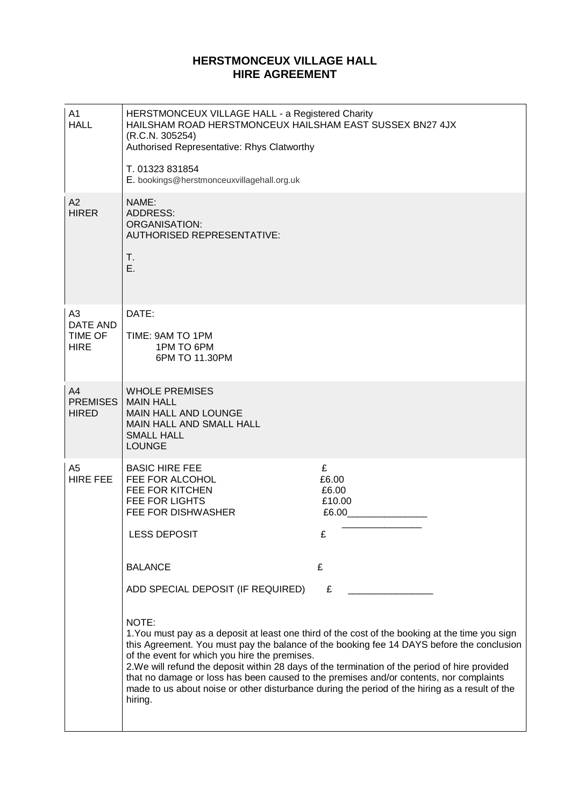# **HERSTMONCEUX VILLAGE HALL HIRE AGREEMENT**

| A1<br><b>HALL</b>                                    | HERSTMONCEUX VILLAGE HALL - a Registered Charity<br>HAILSHAM ROAD HERSTMONCEUX HAILSHAM EAST SUSSEX BN27 4JX<br>(R.C.N. 305254)<br>Authorised Representative: Rhys Clatworthy<br>T. 01323 831854<br>E. bookings@herstmonceuxvillagehall.org.uk         |                                                                                                                                                                                                                                                                                                                                                                                                                                                                                                                                                     |
|------------------------------------------------------|--------------------------------------------------------------------------------------------------------------------------------------------------------------------------------------------------------------------------------------------------------|-----------------------------------------------------------------------------------------------------------------------------------------------------------------------------------------------------------------------------------------------------------------------------------------------------------------------------------------------------------------------------------------------------------------------------------------------------------------------------------------------------------------------------------------------------|
| A2<br><b>HIRER</b>                                   | NAME:<br><b>ADDRESS:</b><br><b>ORGANISATION:</b><br><b>AUTHORISED REPRESENTATIVE:</b><br>Τ.<br>E.                                                                                                                                                      |                                                                                                                                                                                                                                                                                                                                                                                                                                                                                                                                                     |
| A <sub>3</sub><br>DATE AND<br>TIME OF<br><b>HIRE</b> | DATE:<br>TIME: 9AM TO 1PM<br>1PM TO 6PM<br>6PM TO 11.30PM                                                                                                                                                                                              |                                                                                                                                                                                                                                                                                                                                                                                                                                                                                                                                                     |
| A4<br><b>PREMISES</b><br><b>HIRED</b>                | <b>WHOLE PREMISES</b><br><b>MAIN HALL</b><br>MAIN HALL AND LOUNGE<br>MAIN HALL AND SMALL HALL<br><b>SMALL HALL</b><br><b>LOUNGE</b>                                                                                                                    |                                                                                                                                                                                                                                                                                                                                                                                                                                                                                                                                                     |
| A <sub>5</sub><br><b>HIRE FEE</b>                    | <b>BASIC HIRE FEE</b><br>FEE FOR ALCOHOL<br>FEE FOR KITCHEN<br><b>FEE FOR LIGHTS</b><br>FEE FOR DISHWASHER<br>LESS DEPOSIT<br><b>BALANCE</b><br>ADD SPECIAL DEPOSIT (IF REQUIRED)<br>NOTE:<br>of the event for which you hire the premises.<br>hiring. | £<br>£6.00<br>£6.00<br>£10.00<br>£6.00<br>£<br>£<br>£<br>1. You must pay as a deposit at least one third of the cost of the booking at the time you sign<br>this Agreement. You must pay the balance of the booking fee 14 DAYS before the conclusion<br>2. We will refund the deposit within 28 days of the termination of the period of hire provided<br>that no damage or loss has been caused to the premises and/or contents, nor complaints<br>made to us about noise or other disturbance during the period of the hiring as a result of the |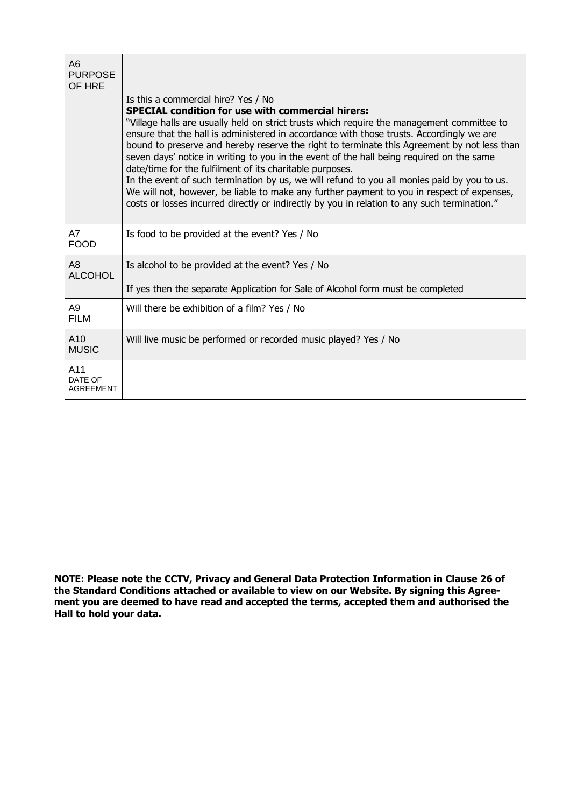| A <sub>6</sub><br><b>PURPOSE</b><br>OF HRE |                                                                                                                                                                                                                                                                                                                                                                                                                                                                                                                                                                                                                                                                                                                                                                                                        |  |
|--------------------------------------------|--------------------------------------------------------------------------------------------------------------------------------------------------------------------------------------------------------------------------------------------------------------------------------------------------------------------------------------------------------------------------------------------------------------------------------------------------------------------------------------------------------------------------------------------------------------------------------------------------------------------------------------------------------------------------------------------------------------------------------------------------------------------------------------------------------|--|
|                                            | Is this a commercial hire? Yes / No                                                                                                                                                                                                                                                                                                                                                                                                                                                                                                                                                                                                                                                                                                                                                                    |  |
|                                            | <b>SPECIAL condition for use with commercial hirers:</b><br>"Village halls are usually held on strict trusts which require the management committee to<br>ensure that the hall is administered in accordance with those trusts. Accordingly we are<br>bound to preserve and hereby reserve the right to terminate this Agreement by not less than<br>seven days' notice in writing to you in the event of the hall being required on the same<br>date/time for the fulfilment of its charitable purposes.<br>In the event of such termination by us, we will refund to you all monies paid by you to us.<br>We will not, however, be liable to make any further payment to you in respect of expenses,<br>costs or losses incurred directly or indirectly by you in relation to any such termination." |  |
| A7<br><b>FOOD</b>                          | Is food to be provided at the event? Yes / No                                                                                                                                                                                                                                                                                                                                                                                                                                                                                                                                                                                                                                                                                                                                                          |  |
| A <sub>8</sub><br><b>ALCOHOL</b>           | Is alcohol to be provided at the event? Yes / No                                                                                                                                                                                                                                                                                                                                                                                                                                                                                                                                                                                                                                                                                                                                                       |  |
|                                            | If yes then the separate Application for Sale of Alcohol form must be completed                                                                                                                                                                                                                                                                                                                                                                                                                                                                                                                                                                                                                                                                                                                        |  |
| A <sub>9</sub><br><b>FILM</b>              | Will there be exhibition of a film? Yes / No                                                                                                                                                                                                                                                                                                                                                                                                                                                                                                                                                                                                                                                                                                                                                           |  |
| A10<br><b>MUSIC</b>                        | Will live music be performed or recorded music played? Yes / No                                                                                                                                                                                                                                                                                                                                                                                                                                                                                                                                                                                                                                                                                                                                        |  |
| A11<br>DATE OF<br><b>AGREEMENT</b>         |                                                                                                                                                                                                                                                                                                                                                                                                                                                                                                                                                                                                                                                                                                                                                                                                        |  |

**NOTE: Please note the CCTV, Privacy and General Data Protection Information in Clause 26 of the Standard Conditions attached or available to view on our Website. By signing this Agreement you are deemed to have read and accepted the terms, accepted them and authorised the Hall to hold your data.**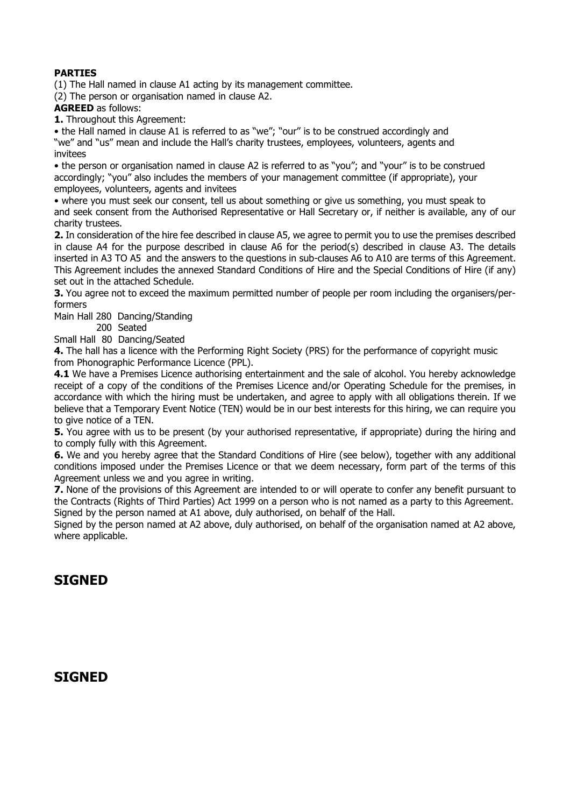# **PARTIES**

(1) The Hall named in clause A1 acting by its management committee.

(2) The person or organisation named in clause A2.

## **AGREED** as follows:

**1.** Throughout this Agreement:

• the Hall named in clause A1 is referred to as "we"; "our" is to be construed accordingly and "we" and "us" mean and include the Hall's charity trustees, employees, volunteers, agents and invitees

• the person or organisation named in clause A2 is referred to as "you"; and "your" is to be construed accordingly; "you" also includes the members of your management committee (if appropriate), your employees, volunteers, agents and invitees

• where you must seek our consent, tell us about something or give us something, you must speak to and seek consent from the Authorised Representative or Hall Secretary or, if neither is available, any of our charity trustees.

**2.** In consideration of the hire fee described in clause A5, we agree to permit you to use the premises described in clause A4 for the purpose described in clause A6 for the period(s) described in clause A3. The details inserted in A3 TO A5 and the answers to the questions in sub-clauses A6 to A10 are terms of this Agreement. This Agreement includes the annexed Standard Conditions of Hire and the Special Conditions of Hire (if any) set out in the attached Schedule.

**3.** You agree not to exceed the maximum permitted number of people per room including the organisers/performers

Main Hall 280 Dancing/Standing

200 Seated

Small Hall 80 Dancing/Seated

**4.** The hall has a licence with the Performing Right Society (PRS) for the performance of copyright music from Phonographic Performance Licence (PPL).

**4.1** We have a Premises Licence authorising entertainment and the sale of alcohol. You hereby acknowledge receipt of a copy of the conditions of the Premises Licence and/or Operating Schedule for the premises, in accordance with which the hiring must be undertaken, and agree to apply with all obligations therein. If we believe that a Temporary Event Notice (TEN) would be in our best interests for this hiring, we can require you to give notice of a TEN.

**5.** You agree with us to be present (by your authorised representative, if appropriate) during the hiring and to comply fully with this Agreement.

**6.** We and you hereby agree that the Standard Conditions of Hire (see below), together with any additional conditions imposed under the Premises Licence or that we deem necessary, form part of the terms of this Agreement unless we and you agree in writing.

**7.** None of the provisions of this Agreement are intended to or will operate to confer any benefit pursuant to the Contracts (Rights of Third Parties) Act 1999 on a person who is not named as a party to this Agreement. Signed by the person named at A1 above, duly authorised, on behalf of the Hall.

Signed by the person named at A2 above, duly authorised, on behalf of the organisation named at A2 above, where applicable.

# **SIGNED**

# **SIGNED**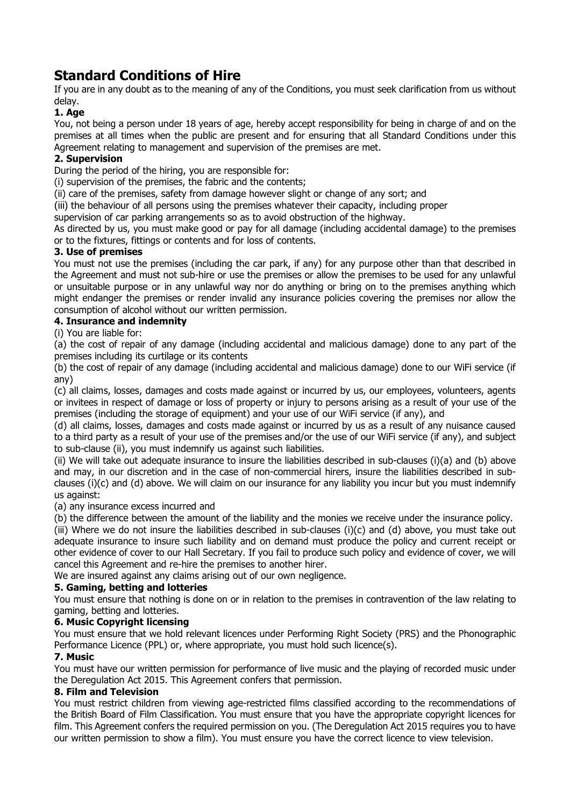# **Standard Conditions of Hire**

If you are in any doubt as to the meaning of any of the Conditions, you must seek clarification from us without delay.

# **1. Age**

You, not being a person under 18 years of age, hereby accept responsibility for being in charge of and on the premises at all times when the public are present and for ensuring that all Standard Conditions under this Agreement relating to management and supervision of the premises are met.

# **2. Supervision**

During the period of the hiring, you are responsible for:

(i) supervision of the premises, the fabric and the contents;

(ii) care of the premises, safety from damage however slight or change of any sort; and

(iii) the behaviour of all persons using the premises whatever their capacity, including proper

supervision of car parking arrangements so as to avoid obstruction of the highway.

As directed by us, you must make good or pay for all damage (including accidental damage) to the premises or to the fixtures, fittings or contents and for loss of contents.

# **3. Use of premises**

You must not use the premises (including the car park, if any) for any purpose other than that described in the Agreement and must not sub-hire or use the premises or allow the premises to be used for any unlawful or unsuitable purpose or in any unlawful way nor do anything or bring on to the premises anything which might endanger the premises or render invalid any insurance policies covering the premises nor allow the consumption of alcohol without our written permission.

# **4. Insurance and indemnity**

(i) You are liable for:

(a) the cost of repair of any damage (including accidental and malicious damage) done to any part of the premises including its curtilage or its contents

(b) the cost of repair of any damage (including accidental and malicious damage) done to our WiFi service (if any)

(c) all claims, losses, damages and costs made against or incurred by us, our employees, volunteers, agents or invitees in respect of damage or loss of property or injury to persons arising as a result of your use of the premises (including the storage of equipment) and your use of our WiFi service (if any), and

(d) all claims, losses, damages and costs made against or incurred by us as a result of any nuisance caused to a third party as a result of your use of the premises and/or the use of our WiFi service (if any), and subject to sub-clause (ii), you must indemnify us against such liabilities.

(ii) We will take out adequate insurance to insure the liabilities described in sub-clauses (i)(a) and (b) above and may, in our discretion and in the case of non-commercial hirers, insure the liabilities described in subclauses (i)(c) and (d) above. We will claim on our insurance for any liability you incur but you must indemnify us against:

# (a) any insurance excess incurred and

(b) the difference between the amount of the liability and the monies we receive under the insurance policy.

(iii) Where we do not insure the liabilities described in sub-clauses (i)(c) and (d) above, you must take out adequate insurance to insure such liability and on demand must produce the policy and current receipt or other evidence of cover to our Hall Secretary. If you fail to produce such policy and evidence of cover, we will cancel this Agreement and re-hire the premises to another hirer.

We are insured against any claims arising out of our own negligence.

# **5. Gaming, betting and lotteries**

You must ensure that nothing is done on or in relation to the premises in contravention of the law relating to gaming, betting and lotteries.

# **6. Music Copyright licensing**

You must ensure that we hold relevant licences under Performing Right Society (PRS) and the Phonographic Performance Licence (PPL) or, where appropriate, you must hold such licence(s).

# **7. Music**

You must have our written permission for performance of live music and the playing of recorded music under the Deregulation Act 2015. This Agreement confers that permission.

# **8. Film and Television**

You must restrict children from viewing age-restricted films classified according to the recommendations of the British Board of Film Classification. You must ensure that you have the appropriate copyright licences for film. This Agreement confers the required permission on you. (The Deregulation Act 2015 requires you to have our written permission to show a film). You must ensure you have the correct licence to view television.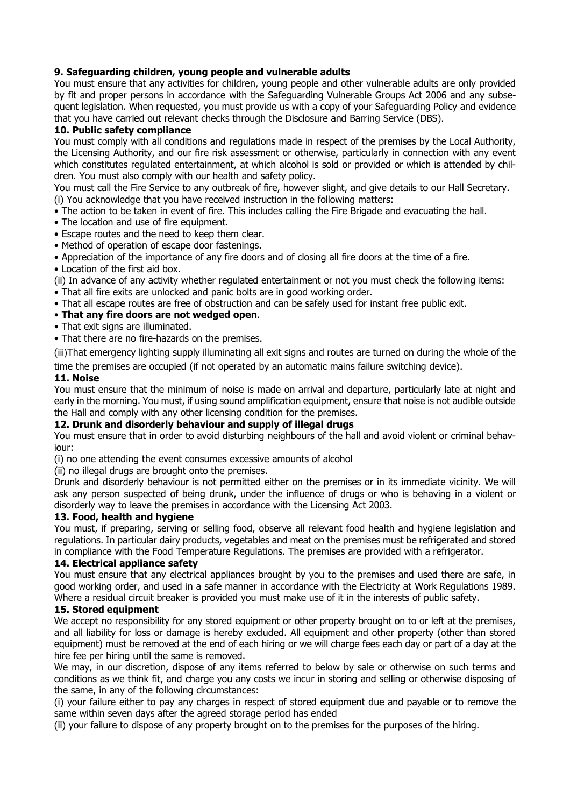## **9. Safeguarding children, young people and vulnerable adults**

You must ensure that any activities for children, young people and other vulnerable adults are only provided by fit and proper persons in accordance with the Safeguarding Vulnerable Groups Act 2006 and any subsequent legislation. When requested, you must provide us with a copy of your Safeguarding Policy and evidence that you have carried out relevant checks through the Disclosure and Barring Service (DBS).

#### **10. Public safety compliance**

You must comply with all conditions and regulations made in respect of the premises by the Local Authority, the Licensing Authority, and our fire risk assessment or otherwise, particularly in connection with any event which constitutes regulated entertainment, at which alcohol is sold or provided or which is attended by children. You must also comply with our health and safety policy.

You must call the Fire Service to any outbreak of fire, however slight, and give details to our Hall Secretary. (i) You acknowledge that you have received instruction in the following matters:

• The action to be taken in event of fire. This includes calling the Fire Brigade and evacuating the hall.

- The location and use of fire equipment.
- Escape routes and the need to keep them clear.
- Method of operation of escape door fastenings.

• Appreciation of the importance of any fire doors and of closing all fire doors at the time of a fire.

• Location of the first aid box.

(ii) In advance of any activity whether regulated entertainment or not you must check the following items:

- That all fire exits are unlocked and panic bolts are in good working order.
- That all escape routes are free of obstruction and can be safely used for instant free public exit.

## • **That any fire doors are not wedged open**.

- That exit signs are illuminated.
- That there are no fire-hazards on the premises.

(iii)That emergency lighting supply illuminating all exit signs and routes are turned on during the whole of the time the premises are occupied (if not operated by an automatic mains failure switching device).

#### **11. Noise**

You must ensure that the minimum of noise is made on arrival and departure, particularly late at night and early in the morning. You must, if using sound amplification equipment, ensure that noise is not audible outside the Hall and comply with any other licensing condition for the premises.

#### **12. Drunk and disorderly behaviour and supply of illegal drugs**

You must ensure that in order to avoid disturbing neighbours of the hall and avoid violent or criminal behaviour:

(i) no one attending the event consumes excessive amounts of alcohol

(ii) no illegal drugs are brought onto the premises.

Drunk and disorderly behaviour is not permitted either on the premises or in its immediate vicinity. We will ask any person suspected of being drunk, under the influence of drugs or who is behaving in a violent or disorderly way to leave the premises in accordance with the Licensing Act 2003.

#### **13. Food, health and hygiene**

You must, if preparing, serving or selling food, observe all relevant food health and hygiene legislation and regulations. In particular dairy products, vegetables and meat on the premises must be refrigerated and stored in compliance with the Food Temperature Regulations. The premises are provided with a refrigerator.

#### **14. Electrical appliance safety**

You must ensure that any electrical appliances brought by you to the premises and used there are safe, in good working order, and used in a safe manner in accordance with the Electricity at Work Regulations 1989. Where a residual circuit breaker is provided you must make use of it in the interests of public safety.

#### **15. Stored equipment**

We accept no responsibility for any stored equipment or other property brought on to or left at the premises, and all liability for loss or damage is hereby excluded. All equipment and other property (other than stored equipment) must be removed at the end of each hiring or we will charge fees each day or part of a day at the hire fee per hiring until the same is removed.

We may, in our discretion, dispose of any items referred to below by sale or otherwise on such terms and conditions as we think fit, and charge you any costs we incur in storing and selling or otherwise disposing of the same, in any of the following circumstances:

(i) your failure either to pay any charges in respect of stored equipment due and payable or to remove the same within seven days after the agreed storage period has ended

(ii) your failure to dispose of any property brought on to the premises for the purposes of the hiring.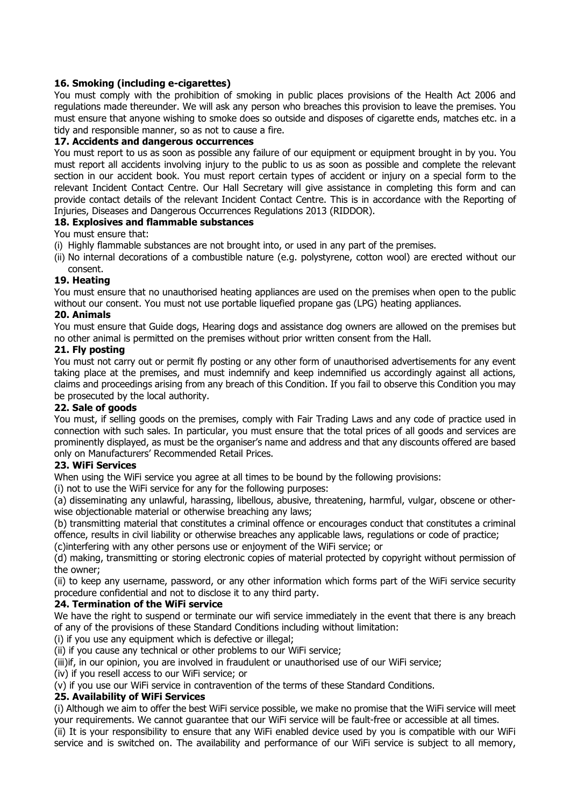# **16. Smoking (including e-cigarettes)**

You must comply with the prohibition of smoking in public places provisions of the Health Act 2006 and regulations made thereunder. We will ask any person who breaches this provision to leave the premises. You must ensure that anyone wishing to smoke does so outside and disposes of cigarette ends, matches etc. in a tidy and responsible manner, so as not to cause a fire.

# **17. Accidents and dangerous occurrences**

You must report to us as soon as possible any failure of our equipment or equipment brought in by you. You must report all accidents involving injury to the public to us as soon as possible and complete the relevant section in our accident book. You must report certain types of accident or injury on a special form to the relevant Incident Contact Centre. Our Hall Secretary will give assistance in completing this form and can provide contact details of the relevant Incident Contact Centre. This is in accordance with the Reporting of Injuries, Diseases and Dangerous Occurrences Regulations 2013 (RIDDOR).

# **18. Explosives and flammable substances**

You must ensure that:

- (i) Highly flammable substances are not brought into, or used in any part of the premises.
- (ii) No internal decorations of a combustible nature (e.g. polystyrene, cotton wool) are erected without our consent.

# **19. Heating**

You must ensure that no unauthorised heating appliances are used on the premises when open to the public without our consent. You must not use portable liquefied propane gas (LPG) heating appliances.

# **20. Animals**

You must ensure that Guide dogs, Hearing dogs and assistance dog owners are allowed on the premises but no other animal is permitted on the premises without prior written consent from the Hall.

## **21. Fly posting**

You must not carry out or permit fly posting or any other form of unauthorised advertisements for any event taking place at the premises, and must indemnify and keep indemnified us accordingly against all actions, claims and proceedings arising from any breach of this Condition. If you fail to observe this Condition you may be prosecuted by the local authority.

# **22. Sale of goods**

You must, if selling goods on the premises, comply with Fair Trading Laws and any code of practice used in connection with such sales. In particular, you must ensure that the total prices of all goods and services are prominently displayed, as must be the organiser's name and address and that any discounts offered are based only on Manufacturers' Recommended Retail Prices.

# **23. WiFi Services**

When using the WiFi service you agree at all times to be bound by the following provisions:

(i) not to use the WiFi service for any for the following purposes:

(a) disseminating any unlawful, harassing, libellous, abusive, threatening, harmful, vulgar, obscene or otherwise objectionable material or otherwise breaching any laws;

(b) transmitting material that constitutes a criminal offence or encourages conduct that constitutes a criminal offence, results in civil liability or otherwise breaches any applicable laws, regulations or code of practice;

(c)interfering with any other persons use or enjoyment of the WiFi service; or

(d) making, transmitting or storing electronic copies of material protected by copyright without permission of the owner;

(ii) to keep any username, password, or any other information which forms part of the WiFi service security procedure confidential and not to disclose it to any third party.

# **24. Termination of the WiFi service**

We have the right to suspend or terminate our wifi service immediately in the event that there is any breach of any of the provisions of these Standard Conditions including without limitation:

(i) if you use any equipment which is defective or illegal;

(ii) if you cause any technical or other problems to our WiFi service;

(iii)if, in our opinion, you are involved in fraudulent or unauthorised use of our WiFi service;

(iv) if you resell access to our WiFi service; or

(v) if you use our WiFi service in contravention of the terms of these Standard Conditions.

# **25. Availability of WiFi Services**

(i) Although we aim to offer the best WiFi service possible, we make no promise that the WiFi service will meet your requirements. We cannot guarantee that our WiFi service will be fault-free or accessible at all times.

(ii) It is your responsibility to ensure that any WiFi enabled device used by you is compatible with our WiFi service and is switched on. The availability and performance of our WiFi service is subject to all memory,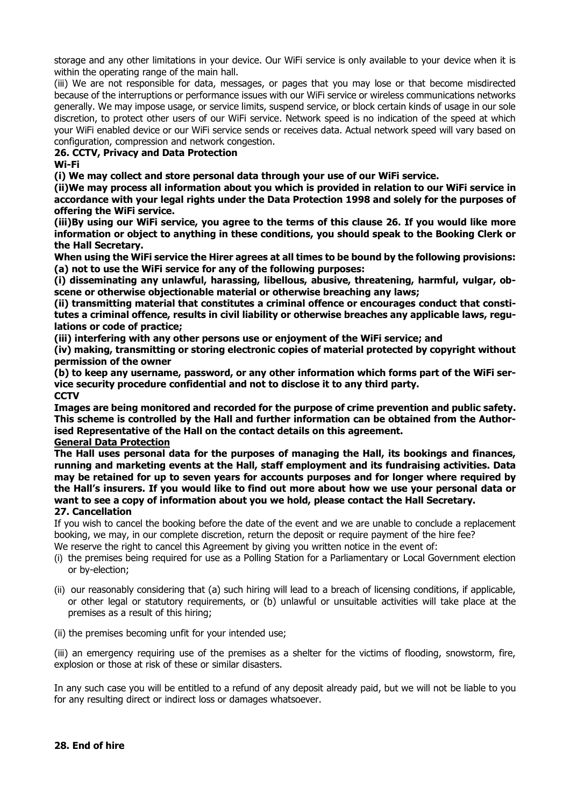storage and any other limitations in your device. Our WiFi service is only available to your device when it is within the operating range of the main hall.

(iii) We are not responsible for data, messages, or pages that you may lose or that become misdirected because of the interruptions or performance issues with our WiFi service or wireless communications networks generally. We may impose usage, or service limits, suspend service, or block certain kinds of usage in our sole discretion, to protect other users of our WiFi service. Network speed is no indication of the speed at which your WiFi enabled device or our WiFi service sends or receives data. Actual network speed will vary based on configuration, compression and network congestion.

### **26. CCTV, Privacy and Data Protection**

**Wi-Fi**

**(i) We may collect and store personal data through your use of our WiFi service.**

**(ii)We may process all information about you which is provided in relation to our WiFi service in accordance with your legal rights under the Data Protection 1998 and solely for the purposes of offering the WiFi service.**

(iii)By using our WiFi service, you agree to the terms of this clause 26. If you would like more **information or object to anything in these conditions, you should speak to the Booking Clerk or the Hall Secretary.**

**When using the WiFi service the Hirer agrees at all times to be bound by the following provisions: (a) not to use the WiFi service for any of the following purposes:**

**(i) disseminating any unlawful, harassing, libellous, abusive, threatening, harmful, vulgar, obscene or otherwise objectionable material or otherwise breaching any laws;**

**(ii) transmitting material that constitutes a criminal offence or encourages conduct that constitutes a criminal offence, results in civil liability or otherwise breaches any applicable laws, regulations or code of practice;**

**(iii) interfering with any other persons use or enjoyment of the WiFi service; and**

**(iv) making, transmitting or storing electronic copies of material protected by copyright without permission of the owner**

**(b) to keep any username, password, or any other information which forms part of the WiFi service security procedure confidential and not to disclose it to any third party. CCTV**

**Images are being monitored and recorded for the purpose of crime prevention and public safety. This scheme is controlled by the Hall and further information can be obtained from the Authorised Representative of the Hall on the contact details on this agreement.**

#### **General Data Protection**

**The Hall uses personal data for the purposes of managing the Hall, its bookings and finances, running and marketing events at the Hall, staff employment and its fundraising activities. Data may be retained for up to seven years for accounts purposes and for longer where required by** the Hall's insurers. If you would like to find out more about how we use your personal data or **want to see a copy of information about you we hold, please contact the Hall Secretary. 27. Cancellation**

If you wish to cancel the booking before the date of the event and we are unable to conclude a replacement booking, we may, in our complete discretion, return the deposit or require payment of the hire fee?

We reserve the right to cancel this Agreement by giving you written notice in the event of:

- (i) the premises being required for use as a Polling Station for a Parliamentary or Local Government election or by-election;
- (ii) our reasonably considering that (a) such hiring will lead to a breach of licensing conditions, if applicable, or other legal or statutory requirements, or (b) unlawful or unsuitable activities will take place at the premises as a result of this hiring;
- (ii) the premises becoming unfit for your intended use;

(iii) an emergency requiring use of the premises as a shelter for the victims of flooding, snowstorm, fire, explosion or those at risk of these or similar disasters.

In any such case you will be entitled to a refund of any deposit already paid, but we will not be liable to you for any resulting direct or indirect loss or damages whatsoever.